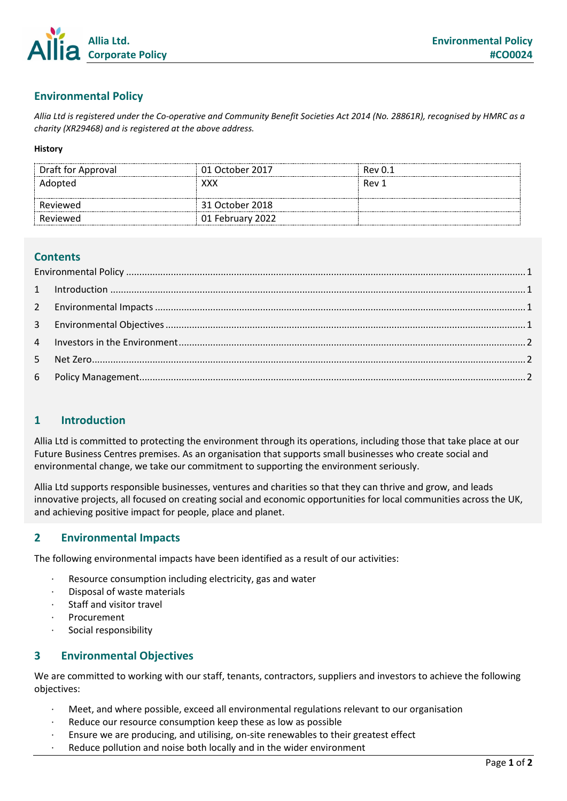

# <span id="page-0-0"></span>**Environmental Policy**

*Allia Ltd is registered under the Co-operative and Community Benefit Societies Act 2014 (No. 28861R), recognised by HMRC as a charity (XR29468) and is registered at the above address.*

#### **History**

| Draft for Approval | 01 October 2017  | Rev 0.1 |
|--------------------|------------------|---------|
| Adopted            | xxx              | Rev 1   |
|                    |                  |         |
| Reviewed           | 31 October 2018  |         |
| Reviewed           | 01 February 2022 |         |

#### **Contents**

### <span id="page-0-1"></span>**1 Introduction**

Allia Ltd is committed to protecting the environment through its operations, including those that take place at our Future Business Centres premises. As an organisation that supports small businesses who create social and environmental change, we take our commitment to supporting the environment seriously.

Allia Ltd supports responsible businesses, ventures and charities so that they can thrive and grow, and leads innovative projects, all focused on creating social and economic opportunities for local communities across the UK, and achieving positive impact for people, place and planet.

#### <span id="page-0-2"></span>**2 Environmental Impacts**

The following environmental impacts have been identified as a result of our activities:

- Resource consumption including electricity, gas and water
- Disposal of waste materials
- Staff and visitor travel
- **Procurement**
- Social responsibility

#### <span id="page-0-3"></span>**3 Environmental Objectives**

We are committed to working with our staff, tenants, contractors, suppliers and investors to achieve the following objectives:

- · Meet, and where possible, exceed all environmental regulations relevant to our organisation
- Reduce our resource consumption keep these as low as possible
- · Ensure we are producing, and utilising, on-site renewables to their greatest effect
- Reduce pollution and noise both locally and in the wider environment